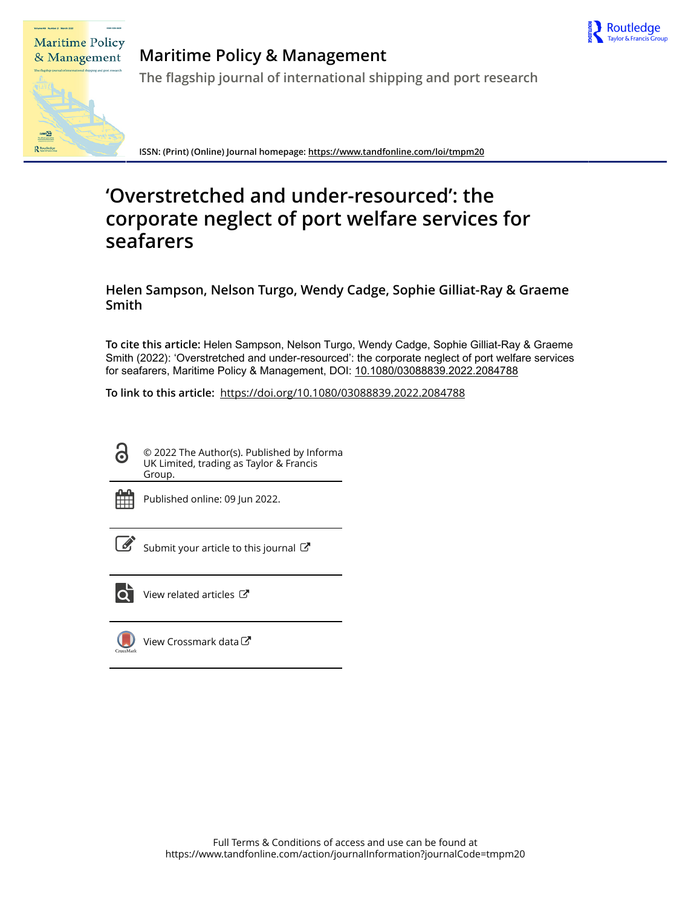

# **Maritime Policy** & Management

R≊

## **Maritime Policy & Management**

**The flagship journal of international shipping and port research**

**ISSN: (Print) (Online) Journal homepage:<https://www.tandfonline.com/loi/tmpm20>**

## **'Overstretched and under-resourced': the corporate neglect of port welfare services for seafarers**

**Helen Sampson, Nelson Turgo, Wendy Cadge, Sophie Gilliat-Ray & Graeme Smith**

**To cite this article:** Helen Sampson, Nelson Turgo, Wendy Cadge, Sophie Gilliat-Ray & Graeme Smith (2022): 'Overstretched and under-resourced': the corporate neglect of port welfare services for seafarers, Maritime Policy & Management, DOI: [10.1080/03088839.2022.2084788](https://www.tandfonline.com/action/showCitFormats?doi=10.1080/03088839.2022.2084788)

**To link to this article:** <https://doi.org/10.1080/03088839.2022.2084788>

© 2022 The Author(s). Published by Informa UK Limited, trading as Taylor & Francis Group.



 $\mathbf{\ddot{o}}$ 

Published online: 09 Jun 2022.

[Submit your article to this journal](https://www.tandfonline.com/action/authorSubmission?journalCode=tmpm20&show=instructions)  $\mathbb{Z}$ 



 $\overline{\mathbf{Q}}$  [View related articles](https://www.tandfonline.com/doi/mlt/10.1080/03088839.2022.2084788)  $\mathbf{C}$ 



[View Crossmark data](http://crossmark.crossref.org/dialog/?doi=10.1080/03088839.2022.2084788&domain=pdf&date_stamp=2022-06-09)<sup>C</sup>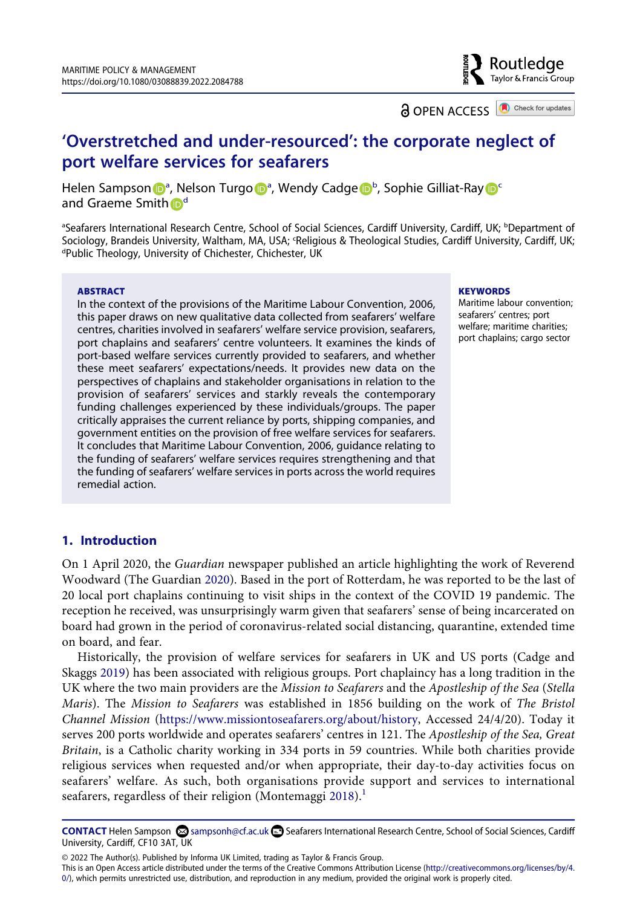

**a** OPEN ACCESS **a** Check for updates

### **'Overstretched and under-resourced': the corporate neglect of port welfare services for seafarers**

Hele[n](http://orcid.org/0000-0002-5857-9452) S[a](#page-1-0)mps[o](http://orcid.org/0000-0001-5508-7260)n D<sup>a</sup>, Nelson Turgo D<sup>a</sup>, Wendy Cadge D<sup>[b](#page-1-0)</sup>, Sophie Gilliat-Ray D<sup>c</sup> an[d](#page-1-2) Graeme Smith D<sup>d</sup>

<span id="page-1-2"></span><span id="page-1-1"></span><span id="page-1-0"></span><sup>a</sup>Seafarers International Research Centre, School of Social Sciences, Cardiff University, Cardiff, UK; <sup>b</sup>Department of Sociology, Brandeis University, Waltham, MA, USA; <sup>c</sup>Religious & Theological Studies, Cardiff University, Cardiff, UK;<br><sup>dp</sup>ublic Theology, University of Chichester, Chichester, UK Public Theology, University of Chichester, Chichester, UK

#### **ABSTRACT**

In the context of the provisions of the Maritime Labour Convention, 2006, this paper draws on new qualitative data collected from seafarers' welfare centres, charities involved in seafarers' welfare service provision, seafarers, port chaplains and seafarers' centre volunteers. It examines the kinds of port-based welfare services currently provided to seafarers, and whether these meet seafarers' expectations/needs. It provides new data on the perspectives of chaplains and stakeholder organisations in relation to the provision of seafarers' services and starkly reveals the contemporary funding challenges experienced by these individuals/groups. The paper critically appraises the current reliance by ports, shipping companies, and government entities on the provision of free welfare services for seafarers. It concludes that Maritime Labour Convention, 2006, guidance relating to the funding of seafarers' welfare services requires strengthening and that the funding of seafarers' welfare services in ports across the world requires remedial action.

#### **KEYWORDS**

Maritime labour convention; seafarers' centres; port welfare; maritime charities; port chaplains; cargo sector

#### **1. Introduction**

<span id="page-1-4"></span>On 1 April 2020, the *Guardian* newspaper published an article highlighting the work of Reverend Woodward (The Guardian [2020\)](#page-12-0). Based in the port of Rotterdam, he was reported to be the last of 20 local port chaplains continuing to visit ships in the context of the COVID 19 pandemic. The reception he received, was unsurprisingly warm given that seafarers' sense of being incarcerated on board had grown in the period of coronavirus-related social distancing, quarantine, extended time on board, and fear.

<span id="page-1-3"></span>Historically, the provision of welfare services for seafarers in UK and US ports (Cadge and Skaggs [2019\)](#page-11-0) has been associated with religious groups. Port chaplaincy has a long tradition in the UK where the two main providers are the *Mission to Seafarers* and the *Apostleship of the Sea* (*Stella Maris*). The *Mission to Seafarers* was established in 1856 building on the work of *The Bristol Channel Mission* ([https://www.missiontoseafarers.org/about/history,](https://www.missiontoseafarers.org/about/history) Accessed 24/4/20). Today it serves 200 ports worldwide and operates seafarers' centres in 121. The *Apostleship of the Sea, Great Britain*, is a Catholic charity working in 334 ports in 59 countries. While both charities provide religious services when requested and/or when appropriate, their day-to-day activities focus on seafarers' welfare. As such, both organisations provide support and services to international seafarers, regardless of their religion (Montemaggi [2018](#page-12-1)).<sup>[1](#page-11-1)</sup>

<span id="page-1-5"></span>**CONTACT** Helen Sampson  $\boxtimes$  sampsonh@cf.ac.uk **Seafarers International Research Centre, School of Social Sciences, Cardiff** University, Cardiff, CF10 3AT, UK

© 2022 The Author(s). Published by Informa UK Limited, trading as Taylor & Francis Group.

This is an Open Access article distributed under the terms of the Creative Commons Attribution License (http://creativecommons.org/licenses/by/4. 0/), which permits unrestricted use, distribution, and reproduction in any medium, provided the original work is properly cited.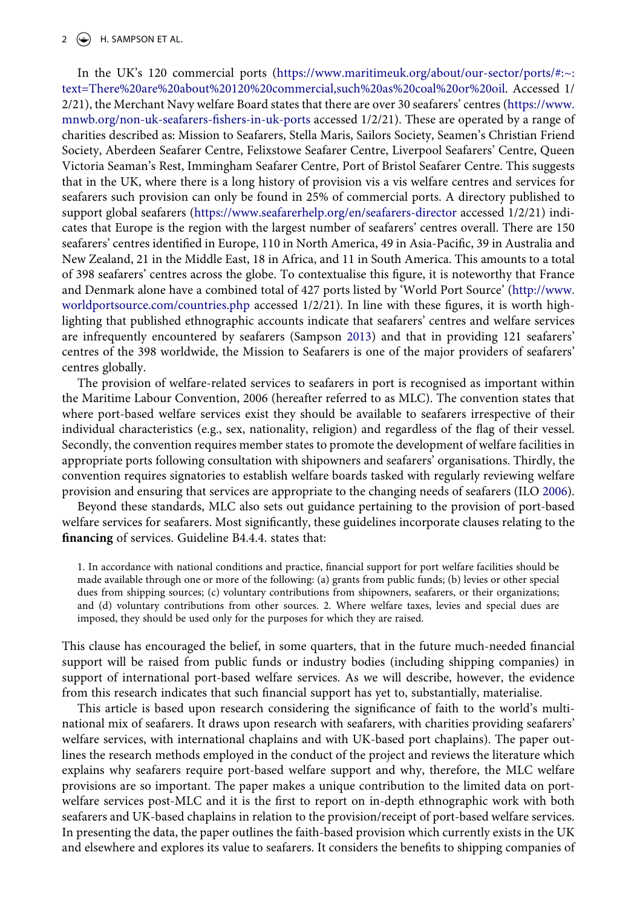#### $2 \left( \rightarrow \right)$  H. SAMPSON ET AL.

In the UK's 120 commercial ports ([https://www.maritimeuk.org/about/our-sector/ports/#:~:](https://www.maritimeuk.org/about/our-sector/ports/#:~:text=There%20are%20about%20120%20commercial,such%20as%20coal%20or%20oil) [text=There%20are%20about%20120%20commercial,such%20as%20coal%20or%20oil](https://www.maritimeuk.org/about/our-sector/ports/#:~:text=There%20are%20about%20120%20commercial,such%20as%20coal%20or%20oil). Accessed 1/ 2/21), the Merchant Navy welfare Board states that there are over 30 seafarers' centres [\(https://www.](https://www.mnwb.org/non-uk-seafarers-fishers-in-uk-ports) [mnwb.org/non-uk-seafarers-fishers-in-uk-ports](https://www.mnwb.org/non-uk-seafarers-fishers-in-uk-ports) accessed 1/2/21). These are operated by a range of charities described as: Mission to Seafarers, Stella Maris, Sailors Society, Seamen's Christian Friend Society, Aberdeen Seafarer Centre, Felixstowe Seafarer Centre, Liverpool Seafarers' Centre, Queen Victoria Seaman's Rest, Immingham Seafarer Centre, Port of Bristol Seafarer Centre. This suggests that in the UK, where there is a long history of provision vis a vis welfare centres and services for seafarers such provision can only be found in 25% of commercial ports. A directory published to support global seafarers [\(https://www.seafarerhelp.org/en/seafarers-director](https://www.seafarerhelp.org/en/seafarers-director) accessed 1/2/21) indicates that Europe is the region with the largest number of seafarers' centres overall. There are 150 seafarers' centres identified in Europe, 110 in North America, 49 in Asia-Pacific, 39 in Australia and New Zealand, 21 in the Middle East, 18 in Africa, and 11 in South America. This amounts to a total of 398 seafarers' centres across the globe. To contextualise this figure, it is noteworthy that France and Denmark alone have a combined total of 427 ports listed by 'World Port Source' ([http://www.](http://www.worldportsource.com/countries.php) [worldportsource.com/countries.php](http://www.worldportsource.com/countries.php) accessed 1/2/21). In line with these figures, it is worth highlighting that published ethnographic accounts indicate that seafarers' centres and welfare services are infrequently encountered by seafarers (Sampson [2013\)](#page-12-2) and that in providing 121 seafarers' centres of the 398 worldwide, the Mission to Seafarers is one of the major providers of seafarers' centres globally.

<span id="page-2-1"></span>The provision of welfare-related services to seafarers in port is recognised as important within the Maritime Labour Convention, 2006 (hereafter referred to as MLC). The convention states that where port-based welfare services exist they should be available to seafarers irrespective of their individual characteristics (e.g., sex, nationality, religion) and regardless of the flag of their vessel. Secondly, the convention requires member states to promote the development of welfare facilities in appropriate ports following consultation with shipowners and seafarers' organisations. Thirdly, the convention requires signatories to establish welfare boards tasked with regularly reviewing welfare provision and ensuring that services are appropriate to the changing needs of seafarers (ILO [2006](#page-12-3)).

<span id="page-2-0"></span>Beyond these standards, MLC also sets out guidance pertaining to the provision of port-based welfare services for seafarers. Most significantly, these guidelines incorporate clauses relating to the **financing** of services. Guideline B4.4.4. states that:

1. In accordance with national conditions and practice, financial support for port welfare facilities should be made available through one or more of the following: (a) grants from public funds; (b) levies or other special dues from shipping sources; (c) voluntary contributions from shipowners, seafarers, or their organizations; and (d) voluntary contributions from other sources. 2. Where welfare taxes, levies and special dues are imposed, they should be used only for the purposes for which they are raised.

This clause has encouraged the belief, in some quarters, that in the future much-needed financial support will be raised from public funds or industry bodies (including shipping companies) in support of international port-based welfare services. As we will describe, however, the evidence from this research indicates that such financial support has yet to, substantially, materialise.

This article is based upon research considering the significance of faith to the world's multinational mix of seafarers. It draws upon research with seafarers, with charities providing seafarers' welfare services, with international chaplains and with UK-based port chaplains). The paper outlines the research methods employed in the conduct of the project and reviews the literature which explains why seafarers require port-based welfare support and why, therefore, the MLC welfare provisions are so important. The paper makes a unique contribution to the limited data on portwelfare services post-MLC and it is the first to report on in-depth ethnographic work with both seafarers and UK-based chaplains in relation to the provision/receipt of port-based welfare services. In presenting the data, the paper outlines the faith-based provision which currently exists in the UK and elsewhere and explores its value to seafarers. It considers the benefits to shipping companies of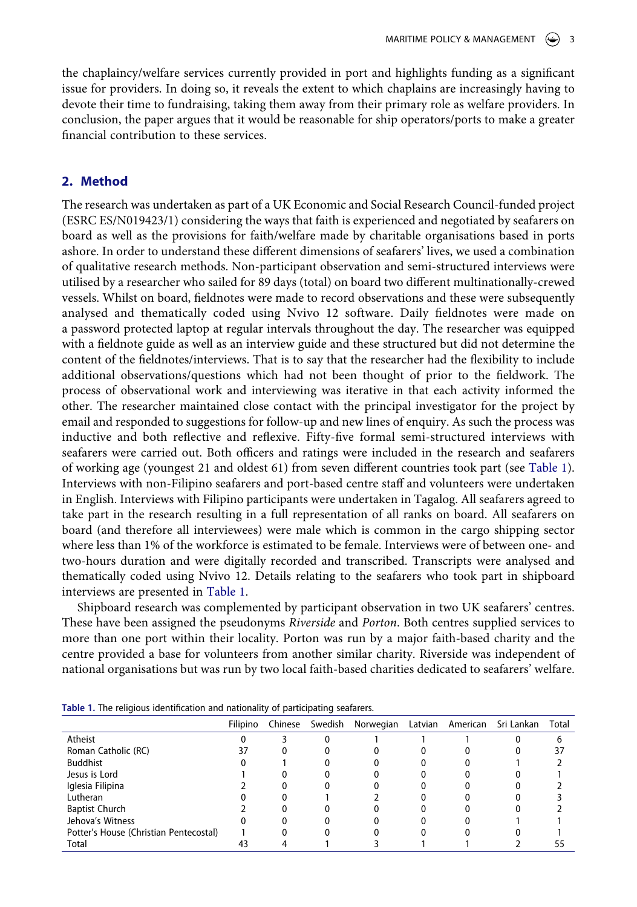the chaplaincy/welfare services currently provided in port and highlights funding as a significant issue for providers. In doing so, it reveals the extent to which chaplains are increasingly having to devote their time to fundraising, taking them away from their primary role as welfare providers. In conclusion, the paper argues that it would be reasonable for ship operators/ports to make a greater financial contribution to these services.

#### **2. Method**

The research was undertaken as part of a UK Economic and Social Research Council-funded project (ESRC ES/N019423/1) considering the ways that faith is experienced and negotiated by seafarers on board as well as the provisions for faith/welfare made by charitable organisations based in ports ashore. In order to understand these different dimensions of seafarers' lives, we used a combination of qualitative research methods. Non-participant observation and semi-structured interviews were utilised by a researcher who sailed for 89 days (total) on board two different multinationally-crewed vessels. Whilst on board, fieldnotes were made to record observations and these were subsequently analysed and thematically coded using Nvivo 12 software. Daily fieldnotes were made on a password protected laptop at regular intervals throughout the day. The researcher was equipped with a fieldnote guide as well as an interview guide and these structured but did not determine the content of the fieldnotes/interviews. That is to say that the researcher had the flexibility to include additional observations/questions which had not been thought of prior to the fieldwork. The process of observational work and interviewing was iterative in that each activity informed the other. The researcher maintained close contact with the principal investigator for the project by email and responded to suggestions for follow-up and new lines of enquiry. As such the process was inductive and both reflective and reflexive. Fifty-five formal semi-structured interviews with seafarers were carried out. Both officers and ratings were included in the research and seafarers of working age (youngest 21 and oldest 61) from seven different countries took part (see [Table 1](#page-3-0)). Interviews with non-Filipino seafarers and port-based centre staff and volunteers were undertaken in English. Interviews with Filipino participants were undertaken in Tagalog. All seafarers agreed to take part in the research resulting in a full representation of all ranks on board. All seafarers on board (and therefore all interviewees) were male which is common in the cargo shipping sector where less than 1% of the workforce is estimated to be female. Interviews were of between one- and two-hours duration and were digitally recorded and transcribed. Transcripts were analysed and thematically coded using Nvivo 12. Details relating to the seafarers who took part in shipboard interviews are presented in [Table 1](#page-3-0).

Shipboard research was complemented by participant observation in two UK seafarers' centres. These have been assigned the pseudonyms *Riverside* and *Porton*. Both centres supplied services to more than one port within their locality. Porton was run by a major faith-based charity and the centre provided a base for volunteers from another similar charity. Riverside was independent of national organisations but was run by two local faith-based charities dedicated to seafarers' welfare.

|                                        | Filipino | Chinese | Swedish      | Norwegian Latvian American Sri Lankan |  | Total |
|----------------------------------------|----------|---------|--------------|---------------------------------------|--|-------|
| Atheist                                | U        |         | $\mathbf{U}$ |                                       |  |       |
| Roman Catholic (RC)                    | 37       | 0       |              |                                       |  |       |
| <b>Buddhist</b>                        |          |         |              |                                       |  |       |
| Jesus is Lord                          |          |         |              |                                       |  |       |
| Iglesia Filipina                       |          |         |              |                                       |  |       |
| Lutheran                               |          |         |              |                                       |  |       |
| <b>Baptist Church</b>                  |          |         |              |                                       |  |       |
| Jehova's Witness                       |          |         |              |                                       |  |       |
| Potter's House (Christian Pentecostal) |          |         |              |                                       |  |       |
| Total                                  | 43       |         |              |                                       |  |       |

<span id="page-3-0"></span>**Table 1.** The religious identification and nationality of participating seafarers.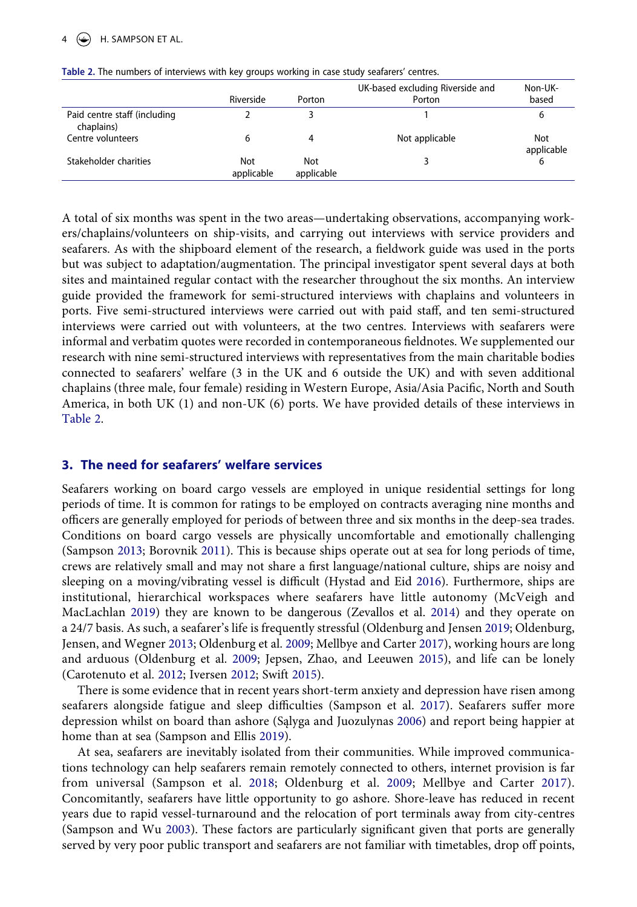|                                            | Riverside         | Porton            | UK-based excluding Riverside and<br>Porton | Non-UK-<br>based  |
|--------------------------------------------|-------------------|-------------------|--------------------------------------------|-------------------|
| Paid centre staff (including<br>chaplains) |                   |                   |                                            | 6                 |
| Centre volunteers                          |                   | 4                 | Not applicable                             | Not<br>applicable |
| Stakeholder charities                      | Not<br>applicable | Not<br>applicable |                                            | 6                 |

<span id="page-4-0"></span>**Table 2.** The numbers of interviews with key groups working in case study seafarers' centres.

A total of six months was spent in the two areas—undertaking observations, accompanying workers/chaplains/volunteers on ship-visits, and carrying out interviews with service providers and seafarers. As with the shipboard element of the research, a fieldwork guide was used in the ports but was subject to adaptation/augmentation. The principal investigator spent several days at both sites and maintained regular contact with the researcher throughout the six months. An interview guide provided the framework for semi-structured interviews with chaplains and volunteers in ports. Five semi-structured interviews were carried out with paid staff, and ten semi-structured interviews were carried out with volunteers, at the two centres. Interviews with seafarers were informal and verbatim quotes were recorded in contemporaneous fieldnotes. We supplemented our research with nine semi-structured interviews with representatives from the main charitable bodies connected to seafarers' welfare (3 in the UK and 6 outside the UK) and with seven additional chaplains (three male, four female) residing in Western Europe, Asia/Asia Pacific, North and South America, in both UK (1) and non-UK (6) ports. We have provided details of these interviews in [Table 2](#page-4-0).

#### **3. The need for seafarers' welfare services**

<span id="page-4-3"></span><span id="page-4-1"></span>Seafarers working on board cargo vessels are employed in unique residential settings for long periods of time. It is common for ratings to be employed on contracts averaging nine months and officers are generally employed for periods of between three and six months in the deep-sea trades. Conditions on board cargo vessels are physically uncomfortable and emotionally challenging (Sampson [2013](#page-12-2); Borovnik [2011](#page-11-2)). This is because ships operate out at sea for long periods of time, crews are relatively small and may not share a first language/national culture, ships are noisy and sleeping on a moving/vibrating vessel is difficult (Hystad and Eid [2016\)](#page-12-4). Furthermore, ships are institutional, hierarchical workspaces where seafarers have little autonomy (McVeigh and MacLachlan [2019](#page-12-5)) they are known to be dangerous (Zevallos et al. [2014\)](#page-13-0) and they operate on a 24/7 basis. As such, a seafarer's life is frequently stressful (Oldenburg and Jensen [2019;](#page-12-6) Oldenburg, Jensen, and Wegner [2013;](#page-12-7) Oldenburg et al. [2009](#page-12-8); Mellbye and Carter [2017\)](#page-12-9), working hours are long and arduous (Oldenburg et al. [2009](#page-12-8); Jepsen, Zhao, and Leeuwen [2015\)](#page-12-10), and life can be lonely (Carotenuto et al. [2012;](#page-11-3) Iversen [2012](#page-12-11); Swift [2015](#page-13-1)).

<span id="page-4-11"></span><span id="page-4-9"></span><span id="page-4-8"></span><span id="page-4-7"></span><span id="page-4-5"></span><span id="page-4-4"></span><span id="page-4-2"></span>There is some evidence that in recent years short-term anxiety and depression have risen among seafarers alongside fatigue and sleep difficulties (Sampson et al. [2017](#page-12-12)). Seafarers suffer more depression whilst on board than ashore (Sąlyga and Juozulynas [2006\)](#page-12-13) and report being happier at home than at sea (Sampson and Ellis [2019](#page-13-2)).

<span id="page-4-12"></span><span id="page-4-10"></span><span id="page-4-6"></span>At sea, seafarers are inevitably isolated from their communities. While improved communications technology can help seafarers remain remotely connected to others, internet provision is far from universal (Sampson et al. [2018;](#page-12-14) Oldenburg et al. [2009;](#page-12-8) Mellbye and Carter [2017](#page-12-9)). Concomitantly, seafarers have little opportunity to go ashore. Shore-leave has reduced in recent years due to rapid vessel-turnaround and the relocation of port terminals away from city-centres (Sampson and Wu [2003\)](#page-12-15). These factors are particularly significant given that ports are generally served by very poor public transport and seafarers are not familiar with timetables, drop off points,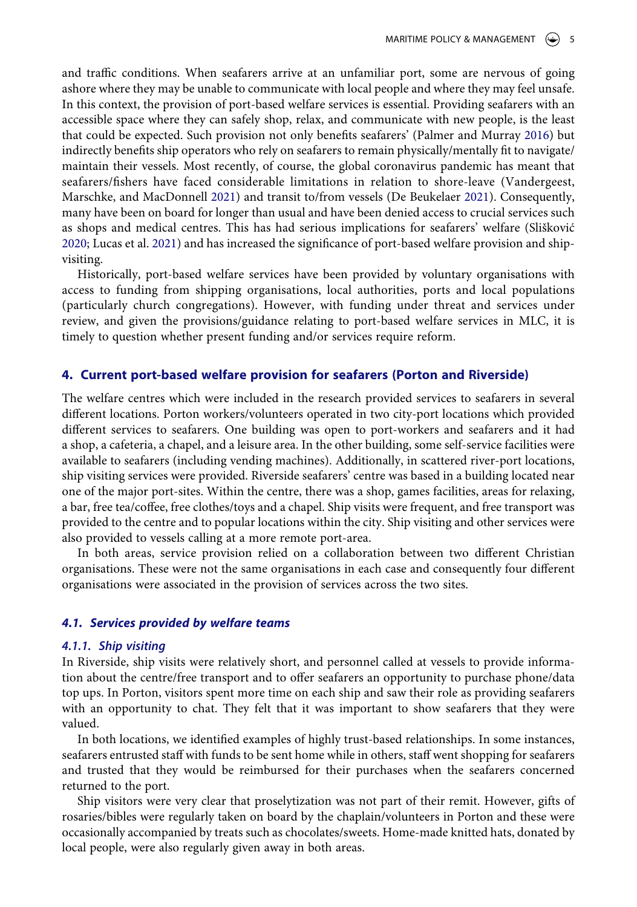<span id="page-5-2"></span>and traffic conditions. When seafarers arrive at an unfamiliar port, some are nervous of going ashore where they may be unable to communicate with local people and where they may feel unsafe. In this context, the provision of port-based welfare services is essential. Providing seafarers with an accessible space where they can safely shop, relax, and communicate with new people, is the least that could be expected. Such provision not only benefits seafarers' (Palmer and Murray [2016](#page-12-16)) but indirectly benefits ship operators who rely on seafarers to remain physically/mentally fit to navigate/ maintain their vessels. Most recently, of course, the global coronavirus pandemic has meant that seafarers/fishers have faced considerable limitations in relation to shore-leave (Vandergeest, Marschke, and MacDonnell [2021\)](#page-13-3) and transit to/from vessels (De Beukelaer [2021\)](#page-11-4). Consequently, many have been on board for longer than usual and have been denied access to crucial services such as shops and medical centres. This has had serious implications for seafarers' welfare (Slišković [2020](#page-13-4); Lucas et al. [2021](#page-12-17)) and has increased the significance of port-based welfare provision and shipvisiting.

<span id="page-5-3"></span><span id="page-5-1"></span><span id="page-5-0"></span>Historically, port-based welfare services have been provided by voluntary organisations with access to funding from shipping organisations, local authorities, ports and local populations (particularly church congregations). However, with funding under threat and services under review, and given the provisions/guidance relating to port-based welfare services in MLC, it is timely to question whether present funding and/or services require reform.

#### **4. Current port-based welfare provision for seafarers (Porton and Riverside)**

The welfare centres which were included in the research provided services to seafarers in several different locations. Porton workers/volunteers operated in two city-port locations which provided different services to seafarers. One building was open to port-workers and seafarers and it had a shop, a cafeteria, a chapel, and a leisure area. In the other building, some self-service facilities were available to seafarers (including vending machines). Additionally, in scattered river-port locations, ship visiting services were provided. Riverside seafarers' centre was based in a building located near one of the major port-sites. Within the centre, there was a shop, games facilities, areas for relaxing, a bar, free tea/coffee, free clothes/toys and a chapel. Ship visits were frequent, and free transport was provided to the centre and to popular locations within the city. Ship visiting and other services were also provided to vessels calling at a more remote port-area.

In both areas, service provision relied on a collaboration between two different Christian organisations. These were not the same organisations in each case and consequently four different organisations were associated in the provision of services across the two sites.

#### *4.1. Services provided by welfare teams*

#### *4.1.1. Ship visiting*

In Riverside, ship visits were relatively short, and personnel called at vessels to provide information about the centre/free transport and to offer seafarers an opportunity to purchase phone/data top ups. In Porton, visitors spent more time on each ship and saw their role as providing seafarers with an opportunity to chat. They felt that it was important to show seafarers that they were valued.

In both locations, we identified examples of highly trust-based relationships. In some instances, seafarers entrusted staff with funds to be sent home while in others, staff went shopping for seafarers and trusted that they would be reimbursed for their purchases when the seafarers concerned returned to the port.

Ship visitors were very clear that proselytization was not part of their remit. However, gifts of rosaries/bibles were regularly taken on board by the chaplain/volunteers in Porton and these were occasionally accompanied by treats such as chocolates/sweets. Home-made knitted hats, donated by local people, were also regularly given away in both areas.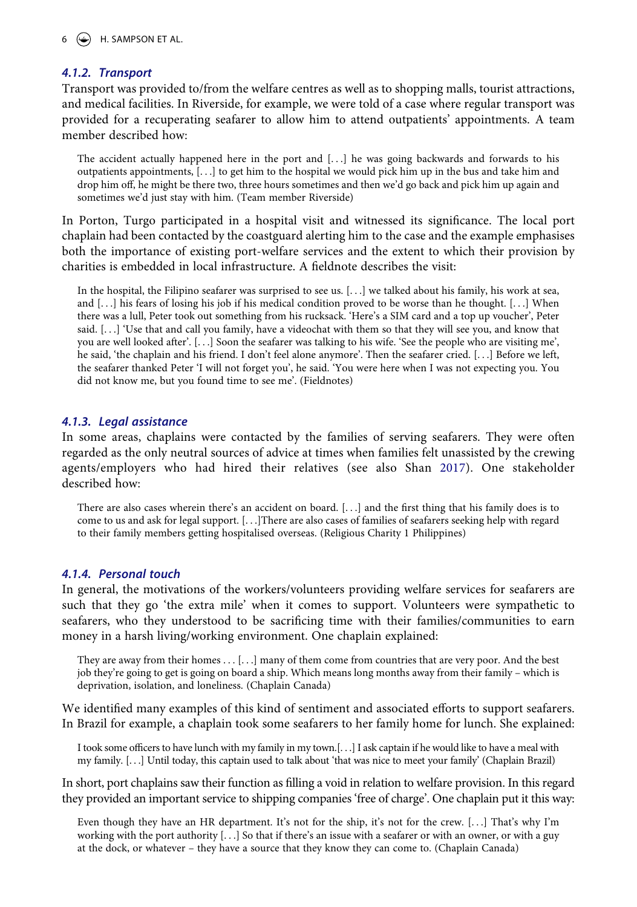#### *4.1.2. Transport*

Transport was provided to/from the welfare centres as well as to shopping malls, tourist attractions, and medical facilities. In Riverside, for example, we were told of a case where regular transport was provided for a recuperating seafarer to allow him to attend outpatients' appointments. A team member described how:

The accident actually happened here in the port and [...] he was going backwards and forwards to his outpatients appointments, [. . .] to get him to the hospital we would pick him up in the bus and take him and drop him off, he might be there two, three hours sometimes and then we'd go back and pick him up again and sometimes we'd just stay with him. (Team member Riverside)

In Porton, Turgo participated in a hospital visit and witnessed its significance. The local port chaplain had been contacted by the coastguard alerting him to the case and the example emphasises both the importance of existing port-welfare services and the extent to which their provision by charities is embedded in local infrastructure. A fieldnote describes the visit:

In the hospital, the Filipino seafarer was surprised to see us. [. . .] we talked about his family, his work at sea, and [...] his fears of losing his job if his medical condition proved to be worse than he thought. [...] When there was a lull, Peter took out something from his rucksack. 'Here's a SIM card and a top up voucher', Peter said. [. . .] 'Use that and call you family, have a videochat with them so that they will see you, and know that you are well looked after'. [. . .] Soon the seafarer was talking to his wife. 'See the people who are visiting me', he said, 'the chaplain and his friend. I don't feel alone anymore'. Then the seafarer cried. [. . .] Before we left, the seafarer thanked Peter 'I will not forget you', he said. 'You were here when I was not expecting you. You did not know me, but you found time to see me'. (Fieldnotes)

#### *4.1.3. Legal assistance*

<span id="page-6-0"></span>In some areas, chaplains were contacted by the families of serving seafarers. They were often regarded as the only neutral sources of advice at times when families felt unassisted by the crewing agents/employers who had hired their relatives (see also Shan [2017\)](#page-13-5). One stakeholder described how:

There are also cases wherein there's an accident on board. [. . .] and the first thing that his family does is to come to us and ask for legal support. [. . .]There are also cases of families of seafarers seeking help with regard to their family members getting hospitalised overseas. (Religious Charity 1 Philippines)

#### *4.1.4. Personal touch*

In general, the motivations of the workers/volunteers providing welfare services for seafarers are such that they go 'the extra mile' when it comes to support. Volunteers were sympathetic to seafarers, who they understood to be sacrificing time with their families/communities to earn money in a harsh living/working environment. One chaplain explained:

They are away from their homes . . . [. . .] many of them come from countries that are very poor. And the best job they're going to get is going on board a ship. Which means long months away from their family – which is deprivation, isolation, and loneliness. (Chaplain Canada)

We identified many examples of this kind of sentiment and associated efforts to support seafarers. In Brazil for example, a chaplain took some seafarers to her family home for lunch. She explained:

I took some officers to have lunch with my family in my town.[. . .] I ask captain if he would like to have a meal with my family. [. . .] Until today, this captain used to talk about 'that was nice to meet your family' (Chaplain Brazil)

In short, port chaplains saw their function as filling a void in relation to welfare provision. In this regard they provided an important service to shipping companies 'free of charge'. One chaplain put it this way:

Even though they have an HR department. It's not for the ship, it's not for the crew. [. . .] That's why I'm working with the port authority [. . .] So that if there's an issue with a seafarer or with an owner, or with a guy at the dock, or whatever – they have a source that they know they can come to. (Chaplain Canada)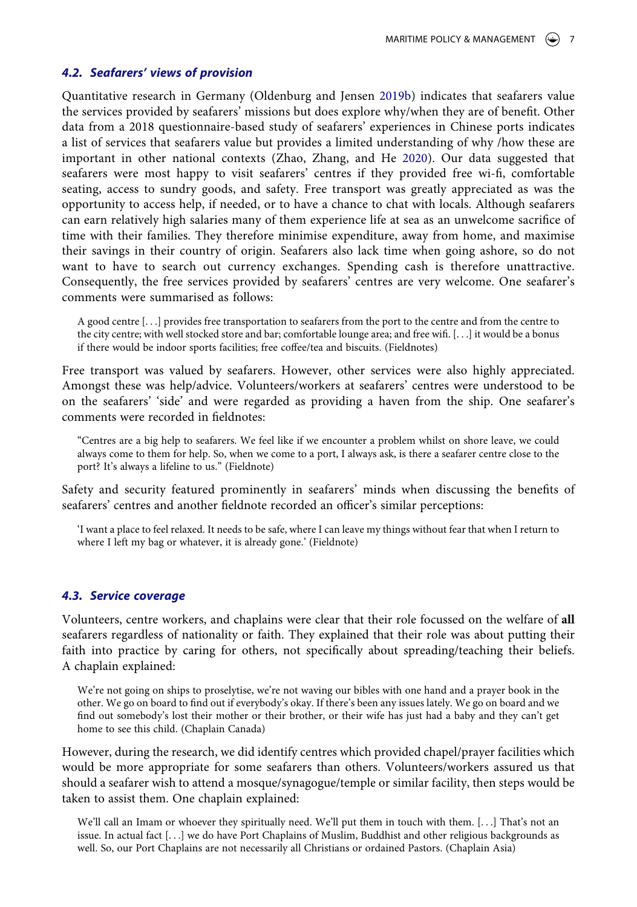#### *4.2. Seafarers' views of provision*

<span id="page-7-1"></span><span id="page-7-0"></span>Quantitative research in Germany (Oldenburg and Jensen [2019b\)](#page-12-18) indicates that seafarers value the services provided by seafarers' missions but does explore why/when they are of benefit. Other data from a 2018 questionnaire-based study of seafarers' experiences in Chinese ports indicates a list of services that seafarers value but provides a limited understanding of why /how these are important in other national contexts (Zhao, Zhang, and He [2020](#page-13-6)). Our data suggested that seafarers were most happy to visit seafarers' centres if they provided free wi-fi, comfortable seating, access to sundry goods, and safety. Free transport was greatly appreciated as was the opportunity to access help, if needed, or to have a chance to chat with locals. Although seafarers can earn relatively high salaries many of them experience life at sea as an unwelcome sacrifice of time with their families. They therefore minimise expenditure, away from home, and maximise their savings in their country of origin. Seafarers also lack time when going ashore, so do not want to have to search out currency exchanges. Spending cash is therefore unattractive. Consequently, the free services provided by seafarers' centres are very welcome. One seafarer's comments were summarised as follows:

A good centre [. . .] provides free transportation to seafarers from the port to the centre and from the centre to the city centre; with well stocked store and bar; comfortable lounge area; and free wifi. [. . .] it would be a bonus if there would be indoor sports facilities; free coffee/tea and biscuits. (Fieldnotes)

Free transport was valued by seafarers. However, other services were also highly appreciated. Amongst these was help/advice. Volunteers/workers at seafarers' centres were understood to be on the seafarers' 'side' and were regarded as providing a haven from the ship. One seafarer's comments were recorded in fieldnotes:

"Centres are a big help to seafarers. We feel like if we encounter a problem whilst on shore leave, we could always come to them for help. So, when we come to a port, I always ask, is there a seafarer centre close to the port? It's always a lifeline to us." (Fieldnote)

Safety and security featured prominently in seafarers' minds when discussing the benefits of seafarers' centres and another fieldnote recorded an officer's similar perceptions:

'I want a place to feel relaxed. It needs to be safe, where I can leave my things without fear that when I return to where I left my bag or whatever, it is already gone.' (Fieldnote)

#### *4.3. Service coverage*

Volunteers, centre workers, and chaplains were clear that their role focussed on the welfare of **all**  seafarers regardless of nationality or faith. They explained that their role was about putting their faith into practice by caring for others, not specifically about spreading/teaching their beliefs. A chaplain explained:

We're not going on ships to proselytise, we're not waving our bibles with one hand and a prayer book in the other. We go on board to find out if everybody's okay. If there's been any issues lately. We go on board and we find out somebody's lost their mother or their brother, or their wife has just had a baby and they can't get home to see this child. (Chaplain Canada)

However, during the research, we did identify centres which provided chapel/prayer facilities which would be more appropriate for some seafarers than others. Volunteers/workers assured us that should a seafarer wish to attend a mosque/synagogue/temple or similar facility, then steps would be taken to assist them. One chaplain explained:

We'll call an Imam or whoever they spiritually need. We'll put them in touch with them. [...] That's not an issue. In actual fact [. . .] we do have Port Chaplains of Muslim, Buddhist and other religious backgrounds as well. So, our Port Chaplains are not necessarily all Christians or ordained Pastors. (Chaplain Asia)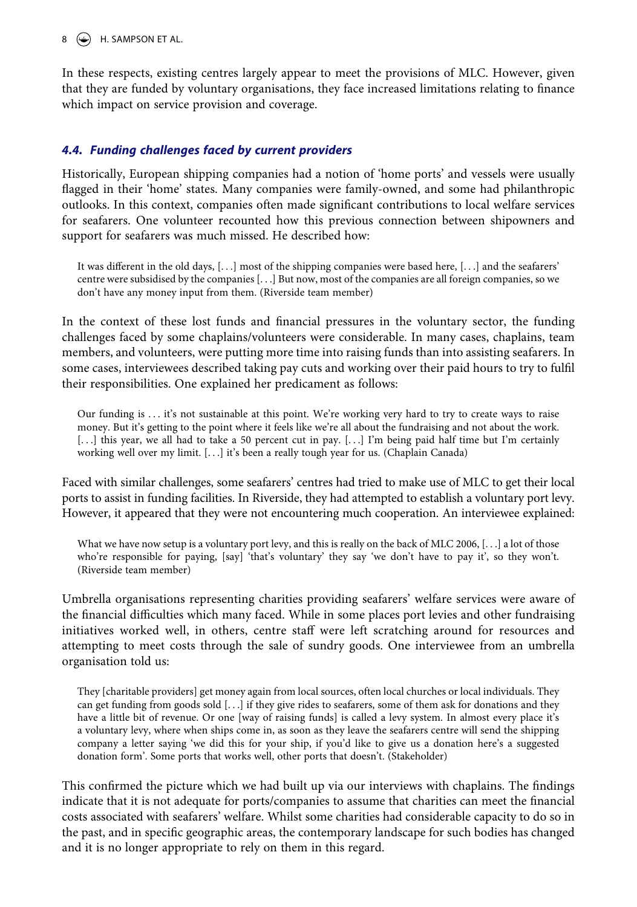#### $8 \quad \circled{\textcircled{\textcircled{\cdots}}}$  H. SAMPSON ET AL.

In these respects, existing centres largely appear to meet the provisions of MLC. However, given that they are funded by voluntary organisations, they face increased limitations relating to finance which impact on service provision and coverage.

#### *4.4. Funding challenges faced by current providers*

Historically, European shipping companies had a notion of 'home ports' and vessels were usually flagged in their 'home' states. Many companies were family-owned, and some had philanthropic outlooks. In this context, companies often made significant contributions to local welfare services for seafarers. One volunteer recounted how this previous connection between shipowners and support for seafarers was much missed. He described how:

It was different in the old days, [. . .] most of the shipping companies were based here, [. . .] and the seafarers' centre were subsidised by the companies [. . .] But now, most of the companies are all foreign companies, so we don't have any money input from them. (Riverside team member)

In the context of these lost funds and financial pressures in the voluntary sector, the funding challenges faced by some chaplains/volunteers were considerable. In many cases, chaplains, team members, and volunteers, were putting more time into raising funds than into assisting seafarers. In some cases, interviewees described taking pay cuts and working over their paid hours to try to fulfil their responsibilities. One explained her predicament as follows:

Our funding is ... it's not sustainable at this point. We're working very hard to try to create ways to raise money. But it's getting to the point where it feels like we're all about the fundraising and not about the work. [...] this year, we all had to take a 50 percent cut in pay. [...] I'm being paid half time but I'm certainly working well over my limit. [. . .] it's been a really tough year for us. (Chaplain Canada)

Faced with similar challenges, some seafarers' centres had tried to make use of MLC to get their local ports to assist in funding facilities. In Riverside, they had attempted to establish a voluntary port levy. However, it appeared that they were not encountering much cooperation. An interviewee explained:

What we have now setup is a voluntary port levy, and this is really on the back of MLC 2006, [...] a lot of those who're responsible for paying, [say] 'that's voluntary' they say 'we don't have to pay it', so they won't. (Riverside team member)

Umbrella organisations representing charities providing seafarers' welfare services were aware of the financial difficulties which many faced. While in some places port levies and other fundraising initiatives worked well, in others, centre staff were left scratching around for resources and attempting to meet costs through the sale of sundry goods. One interviewee from an umbrella organisation told us:

They [charitable providers] get money again from local sources, often local churches or local individuals. They can get funding from goods sold [. . .] if they give rides to seafarers, some of them ask for donations and they have a little bit of revenue. Or one [way of raising funds] is called a levy system. In almost every place it's a voluntary levy, where when ships come in, as soon as they leave the seafarers centre will send the shipping company a letter saying 'we did this for your ship, if you'd like to give us a donation here's a suggested donation form'. Some ports that works well, other ports that doesn't. (Stakeholder)

This confirmed the picture which we had built up via our interviews with chaplains. The findings indicate that it is not adequate for ports/companies to assume that charities can meet the financial costs associated with seafarers' welfare. Whilst some charities had considerable capacity to do so in the past, and in specific geographic areas, the contemporary landscape for such bodies has changed and it is no longer appropriate to rely on them in this regard.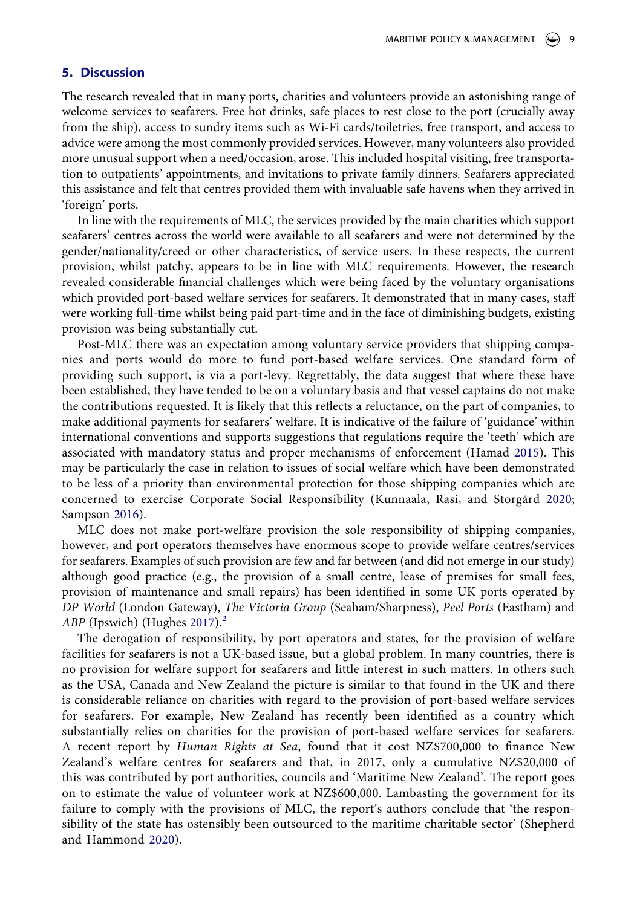#### **5. Discussion**

The research revealed that in many ports, charities and volunteers provide an astonishing range of welcome services to seafarers. Free hot drinks, safe places to rest close to the port (crucially away from the ship), access to sundry items such as Wi-Fi cards/toiletries, free transport, and access to advice were among the most commonly provided services. However, many volunteers also provided more unusual support when a need/occasion, arose. This included hospital visiting, free transportation to outpatients' appointments, and invitations to private family dinners. Seafarers appreciated this assistance and felt that centres provided them with invaluable safe havens when they arrived in 'foreign' ports.

In line with the requirements of MLC, the services provided by the main charities which support seafarers' centres across the world were available to all seafarers and were not determined by the gender/nationality/creed or other characteristics, of service users. In these respects, the current provision, whilst patchy, appears to be in line with MLC requirements. However, the research revealed considerable financial challenges which were being faced by the voluntary organisations which provided port-based welfare services for seafarers. It demonstrated that in many cases, staff were working full-time whilst being paid part-time and in the face of diminishing budgets, existing provision was being substantially cut.

Post-MLC there was an expectation among voluntary service providers that shipping companies and ports would do more to fund port-based welfare services. One standard form of providing such support, is via a port-levy. Regrettably, the data suggest that where these have been established, they have tended to be on a voluntary basis and that vessel captains do not make the contributions requested. It is likely that this reflects a reluctance, on the part of companies, to make additional payments for seafarers' welfare. It is indicative of the failure of 'guidance' within international conventions and supports suggestions that regulations require the 'teeth' which are associated with mandatory status and proper mechanisms of enforcement (Hamad [2015\)](#page-12-19). This may be particularly the case in relation to issues of social welfare which have been demonstrated to be less of a priority than environmental protection for those shipping companies which are concerned to exercise Corporate Social Responsibility (Kunnaala, Rasi, and Storgård [2020;](#page-12-20) Sampson [2016\)](#page-12-21).

<span id="page-9-2"></span><span id="page-9-0"></span>MLC does not make port-welfare provision the sole responsibility of shipping companies, however, and port operators themselves have enormous scope to provide welfare centres/services for seafarers. Examples of such provision are few and far between (and did not emerge in our study) although good practice (e.g., the provision of a small centre, lease of premises for small fees, provision of maintenance and small repairs) has been identified in some UK ports operated by *DP World* (London Gateway), *The Victoria Group* (Seaham/Sharpness), *Peel Ports* (Eastham) and ABP (Ipswich) (Hughes [2017](#page-12-22)).<sup>[2](#page-11-5)</sup>

<span id="page-9-3"></span><span id="page-9-1"></span>The derogation of responsibility, by port operators and states, for the provision of welfare facilities for seafarers is not a UK-based issue, but a global problem. In many countries, there is no provision for welfare support for seafarers and little interest in such matters. In others such as the USA, Canada and New Zealand the picture is similar to that found in the UK and there is considerable reliance on charities with regard to the provision of port-based welfare services for seafarers. For example, New Zealand has recently been identified as a country which substantially relies on charities for the provision of port-based welfare services for seafarers. A recent report by *Human Rights at Sea*, found that it cost NZ\$700,000 to finance New Zealand's welfare centres for seafarers and that, in 2017, only a cumulative NZ\$20,000 of this was contributed by port authorities, councils and 'Maritime New Zealand'. The report goes on to estimate the value of volunteer work at NZ\$600,000. Lambasting the government for its failure to comply with the provisions of MLC, the report's authors conclude that 'the responsibility of the state has ostensibly been outsourced to the maritime charitable sector' (Shepherd and Hammond [2020](#page-13-7)).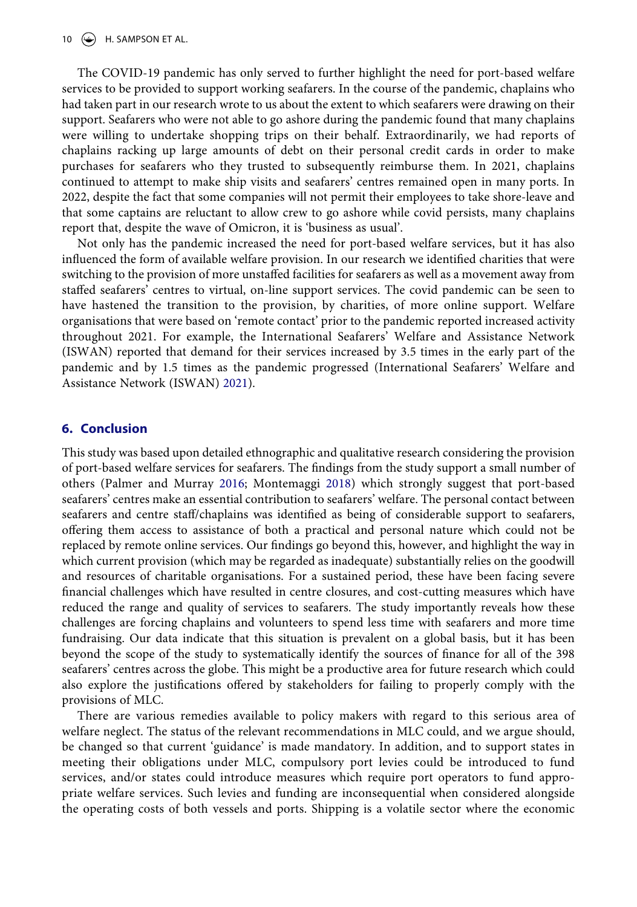The COVID-19 pandemic has only served to further highlight the need for port-based welfare services to be provided to support working seafarers. In the course of the pandemic, chaplains who had taken part in our research wrote to us about the extent to which seafarers were drawing on their support. Seafarers who were not able to go ashore during the pandemic found that many chaplains were willing to undertake shopping trips on their behalf. Extraordinarily, we had reports of chaplains racking up large amounts of debt on their personal credit cards in order to make purchases for seafarers who they trusted to subsequently reimburse them. In 2021, chaplains continued to attempt to make ship visits and seafarers' centres remained open in many ports. In 2022, despite the fact that some companies will not permit their employees to take shore-leave and that some captains are reluctant to allow crew to go ashore while covid persists, many chaplains report that, despite the wave of Omicron, it is 'business as usual'.

Not only has the pandemic increased the need for port-based welfare services, but it has also influenced the form of available welfare provision. In our research we identified charities that were switching to the provision of more unstaffed facilities for seafarers as well as a movement away from staffed seafarers' centres to virtual, on-line support services. The covid pandemic can be seen to have hastened the transition to the provision, by charities, of more online support. Welfare organisations that were based on 'remote contact' prior to the pandemic reported increased activity throughout 2021. For example, the International Seafarers' Welfare and Assistance Network (ISWAN) reported that demand for their services increased by 3.5 times in the early part of the pandemic and by 1.5 times as the pandemic progressed (International Seafarers' Welfare and Assistance Network (ISWAN) [2021](#page-12-23)).

#### <span id="page-10-0"></span>**6. Conclusion**

This study was based upon detailed ethnographic and qualitative research considering the provision of port-based welfare services for seafarers. The findings from the study support a small number of others (Palmer and Murray [2016](#page-12-16); Montemaggi [2018\)](#page-12-1) which strongly suggest that port-based seafarers' centres make an essential contribution to seafarers' welfare. The personal contact between seafarers and centre staff/chaplains was identified as being of considerable support to seafarers, offering them access to assistance of both a practical and personal nature which could not be replaced by remote online services. Our findings go beyond this, however, and highlight the way in which current provision (which may be regarded as inadequate) substantially relies on the goodwill and resources of charitable organisations. For a sustained period, these have been facing severe financial challenges which have resulted in centre closures, and cost-cutting measures which have reduced the range and quality of services to seafarers. The study importantly reveals how these challenges are forcing chaplains and volunteers to spend less time with seafarers and more time fundraising. Our data indicate that this situation is prevalent on a global basis, but it has been beyond the scope of the study to systematically identify the sources of finance for all of the 398 seafarers' centres across the globe. This might be a productive area for future research which could also explore the justifications offered by stakeholders for failing to properly comply with the provisions of MLC.

There are various remedies available to policy makers with regard to this serious area of welfare neglect. The status of the relevant recommendations in MLC could, and we argue should, be changed so that current 'guidance' is made mandatory. In addition, and to support states in meeting their obligations under MLC, compulsory port levies could be introduced to fund services, and/or states could introduce measures which require port operators to fund appropriate welfare services. Such levies and funding are inconsequential when considered alongside the operating costs of both vessels and ports. Shipping is a volatile sector where the economic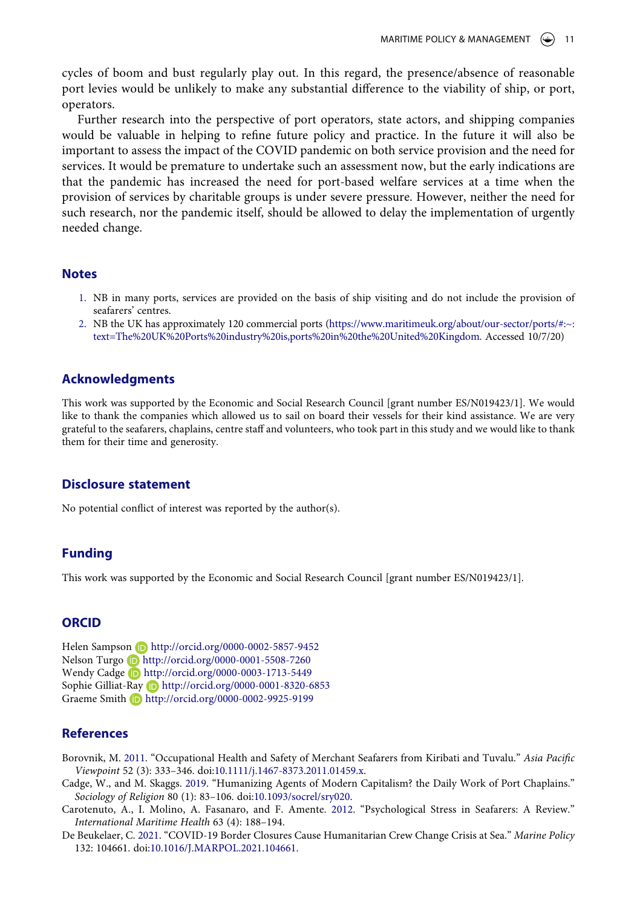cycles of boom and bust regularly play out. In this regard, the presence/absence of reasonable port levies would be unlikely to make any substantial difference to the viability of ship, or port, operators.

Further research into the perspective of port operators, state actors, and shipping companies would be valuable in helping to refine future policy and practice. In the future it will also be important to assess the impact of the COVID pandemic on both service provision and the need for services. It would be premature to undertake such an assessment now, but the early indications are that the pandemic has increased the need for port-based welfare services at a time when the provision of services by charitable groups is under severe pressure. However, neither the need for such research, nor the pandemic itself, should be allowed to delay the implementation of urgently needed change.

#### **Notes**

- <span id="page-11-1"></span>1. NB in many ports, services are provided on the basis of ship visiting and do not include the provision of seafarers' centres.
- <span id="page-11-5"></span>2. NB the UK has approximately 120 commercial ports [\(https://www.maritimeuk.org/about/our-sector/ports/#:~:](https://www.maritimeuk.org/about/our-sector/ports/#:~:text=The%20UK%20Ports%20industry%20is,ports%20in%20the%20United%20Kingdom) [text=The%20UK%20Ports%20industry%20is,ports%20in%20the%20United%20Kingdom.](https://www.maritimeuk.org/about/our-sector/ports/#:~:text=The%20UK%20Ports%20industry%20is,ports%20in%20the%20United%20Kingdom) Accessed 10/7/20)

#### **Acknowledgments**

This work was supported by the Economic and Social Research Council [grant number ES/N019423/1]. We would like to thank the companies which allowed us to sail on board their vessels for their kind assistance. We are very grateful to the seafarers, chaplains, centre staff and volunteers, who took part in this study and we would like to thank them for their time and generosity.

#### **Disclosure statement**

No potential conflict of interest was reported by the author(s).

#### **Funding**

This work was supported by the Economic and Social Research Council [grant number ES/N019423/1].

#### **ORCID**

Helen Sampson **D** http://orcid.org/0000-0002-5857-9452 Nelson Turgo **D** http://orcid.org/0000-0001-5508-7260 Wendy Cadge **D** http://orcid.org/0000-0003-1713-5449 Sophie Gilliat-Ray **b** http://orcid.org/0000-0001-8320-6853 Graeme Smith http://orcid.org/0000-0002-9925-9199

#### **References**

- <span id="page-11-2"></span>Borovnik, M. [2011](#page-4-1). "Occupational Health and Safety of Merchant Seafarers from Kiribati and Tuvalu." *Asia Pacific Viewpoint* 52 (3): 333–346. doi:[10.1111/j.1467-8373.2011.01459.x.](https://doi.org/10.1111/j.1467-8373.2011.01459.x)
- <span id="page-11-0"></span>Cadge, W., and M. Skaggs. [2019.](#page-1-3) "Humanizing Agents of Modern Capitalism? the Daily Work of Port Chaplains." *Sociology of Religion* 80 (1): 83–106. doi:[10.1093/socrel/sry020](https://doi.org/10.1093/socrel/sry020).
- <span id="page-11-3"></span>Carotenuto, A., I. Molino, A. Fasanaro, and F. Amente. [2012](#page-4-2). "Psychological Stress in Seafarers: A Review." *International Maritime Health* 63 (4): 188–194.
- <span id="page-11-4"></span>De Beukelaer, C. [2021](#page-5-0). "COVID-19 Border Closures Cause Humanitarian Crew Change Crisis at Sea." *Marine Policy*  132: 104661. doi:[10.1016/J.MARPOL.2021.104661](https://doi.org/10.1016/J.MARPOL.2021.104661).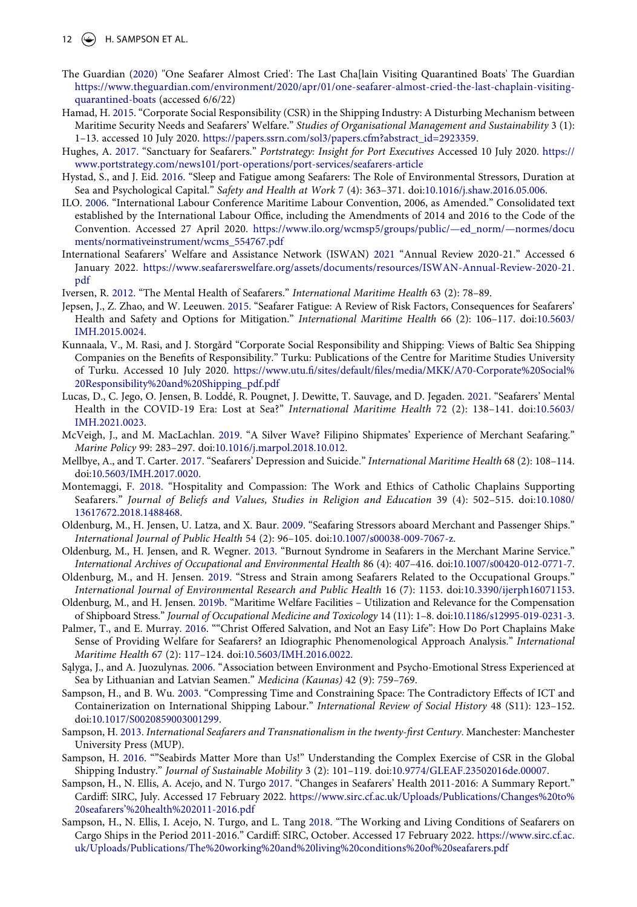- 12  $\left(\rightarrow\right)$  H. SAMPSON ET AL.
- <span id="page-12-0"></span>The Guardian [\(2020](#page-1-4)) ''One Seafarer Almost Cried': The Last Cha[lain Visiting Quarantined Boats' The Guardian [https://www.theguardian.com/environment/2020/apr/01/one-seafarer-almost-cried-the-last-chaplain-visiting](https://www.theguardian.com/environment/2020/apr/01/one-seafarer-almost-cried-the-last-chaplain-visiting-quarantined-boats)[quarantined-boats](https://www.theguardian.com/environment/2020/apr/01/one-seafarer-almost-cried-the-last-chaplain-visiting-quarantined-boats) (accessed 6/6/22)
- <span id="page-12-19"></span>Hamad, H. [2015.](#page-9-0) "Corporate Social Responsibility (CSR) in the Shipping Industry: A Disturbing Mechanism between Maritime Security Needs and Seafarers' Welfare." *Studies of Organisational Management and Sustainability* 3 (1): 1–13. accessed 10 July 2020. [https://papers.ssrn.com/sol3/papers.cfm?abstract\\_id=2923359 .](https://papers.ssrn.com/sol3/papers.cfm?abstract_id=2923359)
- <span id="page-12-22"></span>Hughes, A. [2017.](#page-9-1) "Sanctuary for Seafarers." *Portstrategy: Insight for Port Executives* Accessed 10 July 2020. [https://](https://www.portstrategy.com/news101/port-operations/port-services/seafarers-article) [www.portstrategy.com/news101/port-operations/port-services/seafarers-article](https://www.portstrategy.com/news101/port-operations/port-services/seafarers-article)
- <span id="page-12-4"></span>Hystad, S., and J. Eid. [2016.](#page-4-3) "Sleep and Fatigue among Seafarers: The Role of Environmental Stressors, Duration at Sea and Psychological Capital." *Safety and Health at Work* 7 (4): 363–371. doi:[10.1016/j.shaw.2016.05.006](https://doi.org/10.1016/j.shaw.2016.05.006).
- <span id="page-12-3"></span>ILO. [2006](#page-2-0). "International Labour Conference Maritime Labour Convention, 2006, as Amended." Consolidated text established by the International Labour Office, including the Amendments of 2014 and 2016 to the Code of the Convention. Accessed 27 April 2020. [https://www.ilo.org/wcmsp5/groups/public/—ed\\_norm/—normes/docu](https://www.ilo.org/wcmsp5/groups/public/%26#x2014;ed_norm/%26#x2014;normes/documents/normativeinstrument/wcms_554767.pdf) [ments/normativeinstrument/wcms\\_554767.pdf](https://www.ilo.org/wcmsp5/groups/public/%26#x2014;ed_norm/%26#x2014;normes/documents/normativeinstrument/wcms_554767.pdf)
- <span id="page-12-23"></span>International Seafarers' Welfare and Assistance Network (ISWAN) [2021](#page-10-0) "Annual Review 2020-21." Accessed 6 January 2022. [https://www.seafarerswelfare.org/assets/documents/resources/ISWAN-Annual-Review-2020-21.](https://www.seafarerswelfare.org/assets/documents/resources/ISWAN-Annual-Review-2020-21.pdf) [pdf](https://www.seafarerswelfare.org/assets/documents/resources/ISWAN-Annual-Review-2020-21.pdf)
- <span id="page-12-11"></span>Iversen, R. [2012](#page-4-2). "The Mental Health of Seafarers." *International Maritime Health* 63 (2): 78–89.
- <span id="page-12-10"></span>Jepsen, J., Z. Zhao, and W. Leeuwen. [2015.](#page-4-4) "Seafarer Fatigue: A Review of Risk Factors, Consequences for Seafarers' Health and Safety and Options for Mitigation." *International Maritime Health* 66 (2): 106–117. doi:[10.5603/](https://doi.org/10.5603/IMH.2015.0024) [IMH.2015.0024.](https://doi.org/10.5603/IMH.2015.0024)
- <span id="page-12-20"></span>Kunnaala, V., M. Rasi, and J. Storgård "Corporate Social Responsibility and Shipping: Views of Baltic Sea Shipping Companies on the Benefits of Responsibility." Turku: Publications of the Centre for Maritime Studies University of Turku. Accessed 10 July 2020. [https://www.utu.fi/sites/default/files/media/MKK/A70-Corporate%20Social%](https://www.utu.fi/sites/default/files/media/MKK/A70-Corporate%20Social%20Responsibility%20and%20Shipping_pdf.pdf) [20Responsibility%20and%20Shipping\\_pdf.pdf](https://www.utu.fi/sites/default/files/media/MKK/A70-Corporate%20Social%20Responsibility%20and%20Shipping_pdf.pdf)
- <span id="page-12-17"></span>Lucas, D., C. Jego, O. Jensen, B. Loddé, R. Pougnet, J. Dewitte, T. Sauvage, and D. Jegaden. [2021.](#page-5-1) "Seafarers' Mental Health in the COVID-19 Era: Lost at Sea?" *International Maritime Health* 72 (2): 138–141. doi:[10.5603/](https://doi.org/10.5603/IMH.2021.0023) [IMH.2021.0023.](https://doi.org/10.5603/IMH.2021.0023)
- <span id="page-12-5"></span>McVeigh, J., and M. MacLachlan. [2019.](#page-4-5) "A Silver Wave? Filipino Shipmates' Experience of Merchant Seafaring." *Marine Policy* 99: 283–297. doi:[10.1016/j.marpol.2018.10.012](https://doi.org/10.1016/j.marpol.2018.10.012).
- <span id="page-12-9"></span>Mellbye, A., and T. Carter. [2017](#page-4-6). "Seafarers' Depression and Suicide." *International Maritime Health* 68 (2): 108–114. doi:[10.5603/IMH.2017.0020.](https://doi.org/10.5603/IMH.2017.0020)
- <span id="page-12-1"></span>Montemaggi, F. [2018.](#page-1-5) "Hospitality and Compassion: The Work and Ethics of Catholic Chaplains Supporting Seafarers." *Journal of Beliefs and Values, Studies in Religion and Education* 39 (4): 502–515. doi:[10.1080/](https://doi.org/10.1080/13617672.2018.1488468) [13617672.2018.1488468](https://doi.org/10.1080/13617672.2018.1488468).
- <span id="page-12-8"></span>Oldenburg, M., H. Jensen, U. Latza, and X. Baur. [2009.](#page-4-6) "Seafaring Stressors aboard Merchant and Passenger Ships." *International Journal of Public Health* 54 (2): 96–105. doi:[10.1007/s00038-009-7067-z](https://doi.org/10.1007/s00038-009-7067-z).
- <span id="page-12-7"></span>Oldenburg, M., H. Jensen, and R. Wegner. [2013.](#page-4-7) "Burnout Syndrome in Seafarers in the Merchant Marine Service." *International Archives of Occupational and Environmental Health* 86 (4): 407–416. doi:[10.1007/s00420-012-0771-7](https://doi.org/10.1007/s00420-012-0771-7).
- <span id="page-12-6"></span>Oldenburg, M., and H. Jensen. [2019.](#page-4-8) "Stress and Strain among Seafarers Related to the Occupational Groups." *International Journal of Environmental Research and Public Health* 16 (7): 1153. doi:[10.3390/ijerph16071153](https://doi.org/10.3390/ijerph16071153).
- <span id="page-12-18"></span>Oldenburg, M., and H. Jensen. [2019b.](#page-7-0) "Maritime Welfare Facilities – Utilization and Relevance for the Compensation of Shipboard Stress." *Journal of Occupational Medicine and Toxicology* 14 (11): 1–8. doi:[10.1186/s12995-019-0231-3](https://doi.org/10.1186/s12995-019-0231-3).
- <span id="page-12-16"></span>Palmer, T., and E. Murray. [2016.](#page-5-2) ""Christ Offered Salvation, and Not an Easy Life": How Do Port Chaplains Make Sense of Providing Welfare for Seafarers? an Idiographic Phenomenological Approach Analysis." *International Maritime Health* 67 (2): 117–124. doi:[10.5603/IMH.2016.0022.](https://doi.org/10.5603/IMH.2016.0022)
- <span id="page-12-13"></span>Sąlyga, J., and A. Juozulynas. [2006.](#page-4-9) "Association between Environment and Psycho-Emotional Stress Experienced at Sea by Lithuanian and Latvian Seamen." *Medicina (Kaunas)* 42 (9): 759–769.
- <span id="page-12-15"></span>Sampson, H., and B. Wu. [2003.](#page-4-10) "Compressing Time and Constraining Space: The Contradictory Effects of ICT and Containerization on International Shipping Labour." *International Review of Social History* 48 (S11): 123–152. doi:[10.1017/S0020859003001299.](https://doi.org/10.1017/S0020859003001299)
- <span id="page-12-2"></span>Sampson, H. [2013.](#page-2-1) *International Seafarers and Transnationalism in the twenty-first Century*. Manchester: Manchester University Press (MUP).
- <span id="page-12-21"></span>Sampson, H. [2016.](#page-9-2) ""Seabirds Matter More than Us!" Understanding the Complex Exercise of CSR in the Global Shipping Industry." *Journal of Sustainable Mobility* 3 (2): 101–119. doi:[10.9774/GLEAF.23502016de.00007.](https://doi.org/10.9774/GLEAF.23502016de.00007)
- <span id="page-12-12"></span>Sampson, H., N. Ellis, A. Acejo, and N. Turgo [2017.](#page-4-11) "Changes in Seafarers' Health 2011-2016: A Summary Report." Cardiff: SIRC, July. Accessed 17 February 2022. [https://www.sirc.cf.ac.uk/Uploads/Publications/Changes%20to%](https://www.sirc.cf.ac.uk/Uploads/Publications/Changes%20to%20seafarers%26#x2019;%20health%202011-2016.pdf) [20seafarers'%20health%202011-2016.pdf](https://www.sirc.cf.ac.uk/Uploads/Publications/Changes%20to%20seafarers%26#x2019;%20health%202011-2016.pdf)
- <span id="page-12-14"></span>Sampson, H., N. Ellis, I. Acejo, N. Turgo, and L. Tang [2018.](#page-4-6) "The Working and Living Conditions of Seafarers on Cargo Ships in the Period 2011-2016." Cardiff: SIRC, October. Accessed 17 February 2022. [https://www.sirc.cf.ac.](https://www.sirc.cf.ac.uk/Uploads/Publications/The%20working%20and%20living%20conditions%20of%20seafarers.pdf) [uk/Uploads/Publications/The%20working%20and%20living%20conditions%20of%20seafarers.pdf](https://www.sirc.cf.ac.uk/Uploads/Publications/The%20working%20and%20living%20conditions%20of%20seafarers.pdf)